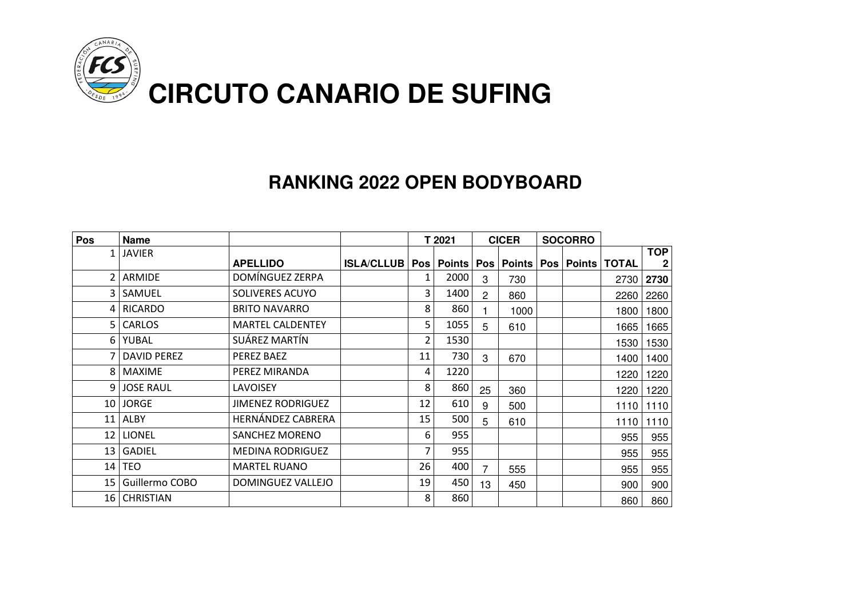

#### **RANKING 2022 OPEN BODYBOARD**

| Pos             | <b>Name</b>        |                          |                                                         |    | T 2021 |                | <b>CICER</b><br><b>SOCORRO</b> |  |              |                           |
|-----------------|--------------------|--------------------------|---------------------------------------------------------|----|--------|----------------|--------------------------------|--|--------------|---------------------------|
| 1               | <b>JAVIER</b>      | <b>APELLIDO</b>          | ISLA/CLLUB   Pos   Points   Pos   Points   Pos   Points |    |        |                |                                |  | <b>TOTAL</b> | <b>TOP</b><br>$\mathbf 2$ |
|                 | ARMIDE             | DOMÍNGUEZ ZERPA          |                                                         | 1  | 2000   | 3              | 730                            |  | 2730         | 2730                      |
| $\overline{3}$  | SAMUEL             | SOLIVERES ACUYO          |                                                         | 3  | 1400   | $\overline{2}$ | 860                            |  | 2260         | 2260                      |
| $\overline{4}$  | <b>RICARDO</b>     | <b>BRITO NAVARRO</b>     |                                                         | 8  | 860    |                | 1000                           |  | 1800         | 1800                      |
|                 | 5 CARLOS           | <b>MARTEL CALDENTEY</b>  |                                                         | 5  | 1055   | 5              | 610                            |  | 1665         | 1665                      |
|                 | 6 YUBAL            | SUÁREZ MARTÍN            |                                                         | 2  | 1530   |                |                                |  | 1530         | 1530                      |
|                 | <b>DAVID PEREZ</b> | PEREZ BAEZ               |                                                         | 11 | 730    | 3              | 670                            |  | 1400         | 1400                      |
| 8 <sup>1</sup>  | <b>MAXIME</b>      | PEREZ MIRANDA            |                                                         | 4  | 1220   |                |                                |  | 1220         | 1220                      |
|                 | 9 JOSE RAUL        | LAVOISEY                 |                                                         | 8  | 860    | 25             | 360                            |  | 1220         | 1220                      |
|                 | 10 JORGE           | <b>JIMENEZ RODRIGUEZ</b> |                                                         | 12 | 610    | 9              | 500                            |  | 1110         | 1110                      |
| 11              | ALBY               | HERNÁNDEZ CABRERA        |                                                         | 15 | 500    | 5              | 610                            |  | 1110         | 1110                      |
| 12              | <b>LIONEL</b>      | SANCHEZ MORENO           |                                                         | 6  | 955    |                |                                |  | 955          | 955                       |
| 13 <sup>1</sup> | <b>GADIEL</b>      | <b>MEDINA RODRIGUEZ</b>  |                                                         | 7  | 955    |                |                                |  | 955          | 955                       |
|                 | $14$ TEO           | <b>MARTEL RUANO</b>      |                                                         | 26 | 400    | 7              | 555                            |  | 955          | 955                       |
| 15 <sub>1</sub> | Guillermo COBO     | DOMINGUEZ VALLEJO        |                                                         | 19 | 450    | 13             | 450                            |  | 900          | 900                       |
| 16 <sub>1</sub> | <b>CHRISTIAN</b>   |                          |                                                         | 8  | 860    |                |                                |  | 860          | 860                       |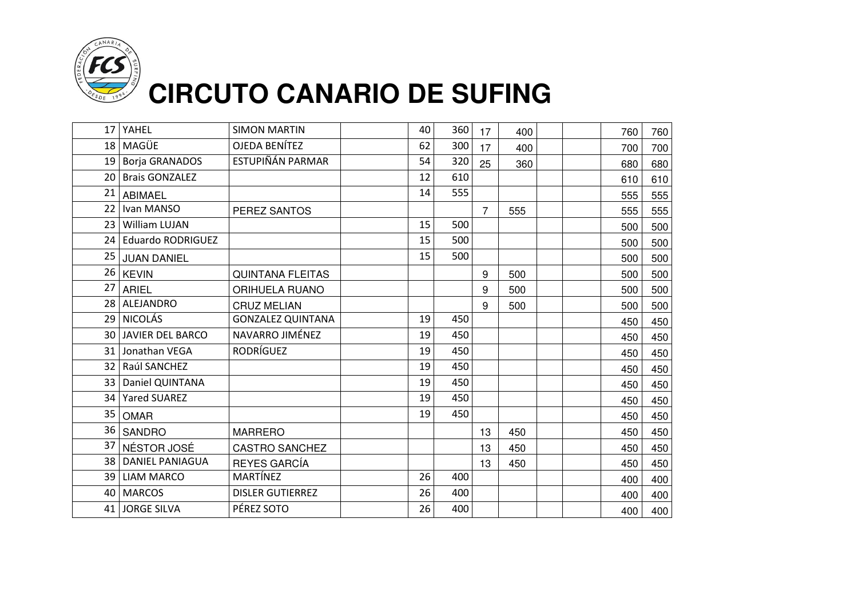

|    | 17 YAHEL                 | <b>SIMON MARTIN</b>      | 40 | 360 | 17             | 400 |  | 760 | 760 |
|----|--------------------------|--------------------------|----|-----|----------------|-----|--|-----|-----|
|    | 18 MAGÜE                 | OJEDA BENÍTEZ            | 62 | 300 | 17             | 400 |  | 700 | 700 |
|    | 19 Borja GRANADOS        | ESTUPIÑÁN PARMAR         | 54 | 320 | 25             | 360 |  | 680 | 680 |
| 20 | <b>Brais GONZALEZ</b>    |                          | 12 | 610 |                |     |  | 610 | 610 |
| 21 | <b>ABIMAEL</b>           |                          | 14 | 555 |                |     |  | 555 | 555 |
| 22 | Ivan MANSO               | PEREZ SANTOS             |    |     | $\overline{7}$ | 555 |  | 555 | 555 |
|    | 23 William LUJAN         |                          | 15 | 500 |                |     |  | 500 | 500 |
| 24 | <b>Eduardo RODRIGUEZ</b> |                          | 15 | 500 |                |     |  | 500 | 500 |
| 25 | JUAN DANIEL              |                          | 15 | 500 |                |     |  | 500 | 500 |
|    | 26 KEVIN                 | QUINTANA FLEITAS         |    |     | 9              | 500 |  | 500 | 500 |
| 27 | ARIEL                    | ORIHUELA RUANO           |    |     | 9              | 500 |  | 500 | 500 |
| 28 | ALEJANDRO                | <b>CRUZ MELIAN</b>       |    |     | 9              | 500 |  | 500 | 500 |
|    | 29 NICOLÁS               | <b>GONZALEZ QUINTANA</b> | 19 | 450 |                |     |  | 450 | 450 |
|    | 30 JAVIER DEL BARCO      | NAVARRO JIMÉNEZ          | 19 | 450 |                |     |  | 450 | 450 |
|    | 31 Jonathan VEGA         | <b>RODRÍGUEZ</b>         | 19 | 450 |                |     |  | 450 | 450 |
|    | 32 Raúl SANCHEZ          |                          | 19 | 450 |                |     |  | 450 | 450 |
|    | 33   Daniel QUINTANA     |                          | 19 | 450 |                |     |  | 450 | 450 |
| 34 | <b>Yared SUAREZ</b>      |                          | 19 | 450 |                |     |  | 450 | 450 |
| 35 | <b>OMAR</b>              |                          | 19 | 450 |                |     |  | 450 | 450 |
| 36 | <b>SANDRO</b>            | <b>MARRERO</b>           |    |     | 13             | 450 |  | 450 | 450 |
| 37 | NÉSTOR JOSÉ              | <b>CASTRO SANCHEZ</b>    |    |     | 13             | 450 |  | 450 | 450 |
|    | 38 DANIEL PANIAGUA       | <b>REYES GARCÍA</b>      |    |     | 13             | 450 |  | 450 | 450 |
| 39 | <b>LIAM MARCO</b>        | <b>MARTÍNEZ</b>          | 26 | 400 |                |     |  | 400 | 400 |
| 40 | <b>MARCOS</b>            | <b>DISLER GUTIERREZ</b>  | 26 | 400 |                |     |  | 400 | 400 |
| 41 | <b>JORGE SILVA</b>       | PÉREZ SOTO               | 26 | 400 |                |     |  | 400 | 400 |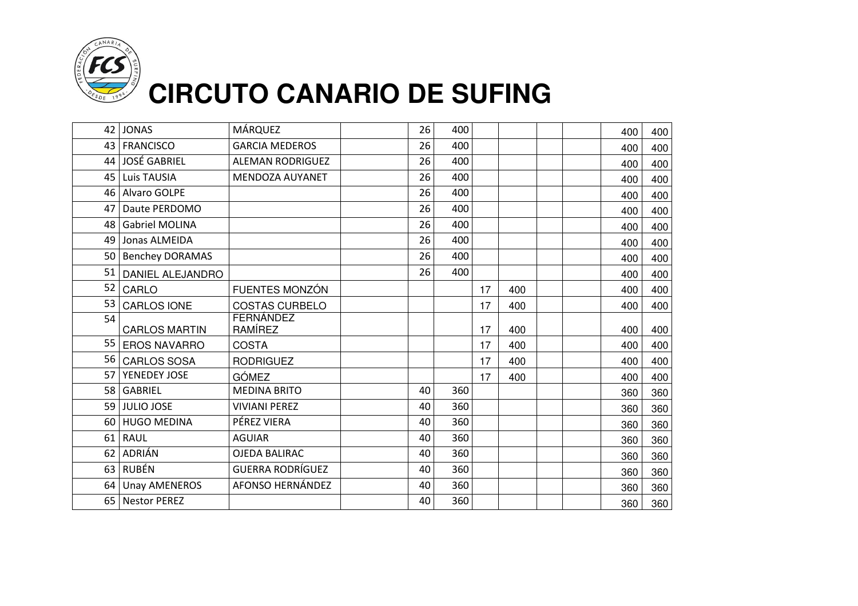

| 42              | <b>JONAS</b>           | MÁRQUEZ                 | 26 | 400 |    |     |  | 400 | 400 |
|-----------------|------------------------|-------------------------|----|-----|----|-----|--|-----|-----|
| 43              | <b>FRANCISCO</b>       | <b>GARCIA MEDEROS</b>   | 26 | 400 |    |     |  | 400 | 400 |
|                 | 44 JOSÉ GABRIEL        | <b>ALEMAN RODRIGUEZ</b> | 26 | 400 |    |     |  | 400 | 400 |
| 45              | Luis TAUSIA            | <b>MENDOZA AUYANET</b>  | 26 | 400 |    |     |  | 400 | 400 |
| 46              | Alvaro GOLPE           |                         | 26 | 400 |    |     |  | 400 | 400 |
| 47              | Daute PERDOMO          |                         | 26 | 400 |    |     |  | 400 | 400 |
| 48              | <b>Gabriel MOLINA</b>  |                         | 26 | 400 |    |     |  | 400 | 400 |
| 49              | Jonas ALMEIDA          |                         | 26 | 400 |    |     |  | 400 | 400 |
| 50 <sub>1</sub> | <b>Benchey DORAMAS</b> |                         | 26 | 400 |    |     |  | 400 | 400 |
| 51              | DANIEL ALEJANDRO       |                         | 26 | 400 |    |     |  | 400 | 400 |
| 52              | CARLO                  | FUENTES MONZÓN          |    |     | 17 | 400 |  | 400 | 400 |
| 53              | CARLOS IONE            | <b>COSTAS CURBELO</b>   |    |     | 17 | 400 |  | 400 | 400 |
| 54              | <b>CARLOS MARTIN</b>   | FERNÁNDEZ<br>RAMÍREZ    |    |     | 17 | 400 |  | 400 | 400 |
| 55              | <b>EROS NAVARRO</b>    | <b>COSTA</b>            |    |     | 17 | 400 |  | 400 | 400 |
| 56              | <b>CARLOS SOSA</b>     | <b>RODRIGUEZ</b>        |    |     | 17 | 400 |  | 400 | 400 |
| 57 <sub>1</sub> | YENEDEY JOSE           | <b>GÓMEZ</b>            |    |     | 17 | 400 |  | 400 | 400 |
|                 | 58 GABRIEL             | <b>MEDINA BRITO</b>     | 40 | 360 |    |     |  | 360 | 360 |
|                 | 59 JULIO JOSE          | <b>VIVIANI PEREZ</b>    | 40 | 360 |    |     |  | 360 | 360 |
|                 | 60 HUGO MEDINA         | PÉREZ VIERA             | 40 | 360 |    |     |  | 360 | 360 |
| 61              | <b>RAUL</b>            | <b>AGUIAR</b>           | 40 | 360 |    |     |  | 360 | 360 |
|                 | 62 ADRIÁN              | <b>OJEDA BALIRAC</b>    | 40 | 360 |    |     |  | 360 | 360 |
| 63              | RUBÉN                  | <b>GUERRA RODRÍGUEZ</b> | 40 | 360 |    |     |  | 360 | 360 |
| 64              | <b>Unay AMENEROS</b>   | AFONSO HERNÁNDEZ        | 40 | 360 |    |     |  | 360 | 360 |
| 65              | <b>Nestor PEREZ</b>    |                         | 40 | 360 |    |     |  | 360 | 360 |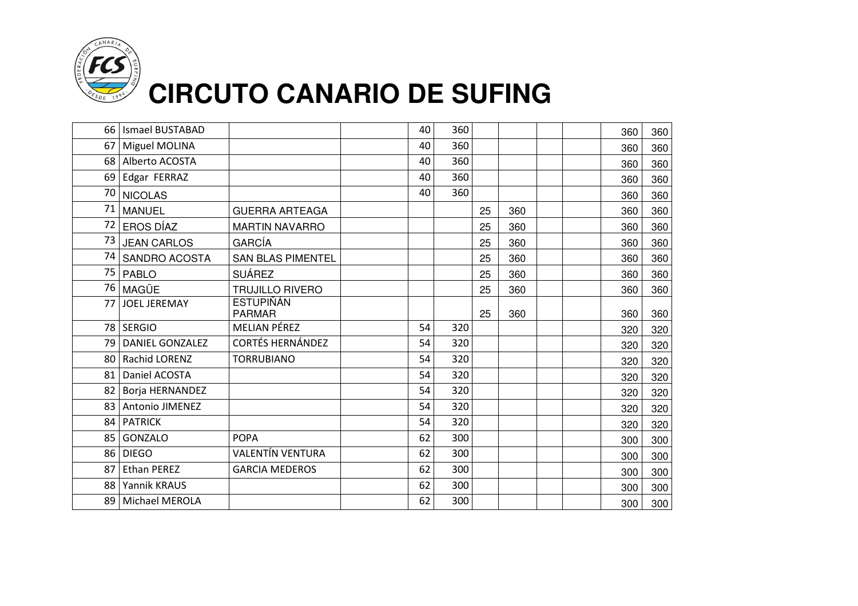

| 66 l            | <b>Ismael BUSTABAD</b> |                                   | 40 | 360 |    |     |  | 360 | 360 |
|-----------------|------------------------|-----------------------------------|----|-----|----|-----|--|-----|-----|
| 67 <sup>1</sup> | Miguel MOLINA          |                                   | 40 | 360 |    |     |  | 360 | 360 |
|                 | 68 Alberto ACOSTA      |                                   | 40 | 360 |    |     |  | 360 | 360 |
| 69              | Edgar FERRAZ           |                                   | 40 | 360 |    |     |  | 360 | 360 |
| 70              | <b>NICOLAS</b>         |                                   | 40 | 360 |    |     |  | 360 | 360 |
| 71              | <b>MANUEL</b>          | <b>GUERRA ARTEAGA</b>             |    |     | 25 | 360 |  | 360 | 360 |
| 72              | EROS DÍAZ              | <b>MARTIN NAVARRO</b>             |    |     | 25 | 360 |  | 360 | 360 |
| 73              | <b>JEAN CARLOS</b>     | <b>GARCÍA</b>                     |    |     | 25 | 360 |  | 360 | 360 |
| 74              | SANDRO ACOSTA          | <b>SAN BLAS PIMENTEL</b>          |    |     | 25 | 360 |  | 360 | 360 |
| 75              | <b>PABLO</b>           | <b>SUÁREZ</b>                     |    |     | 25 | 360 |  | 360 | 360 |
| 76              | MAGÜE                  | <b>TRUJILLO RIVERO</b>            |    |     | 25 | 360 |  | 360 | 360 |
| 77              | <b>JOEL JEREMAY</b>    | <b>ESTUPIÑÁN</b><br><b>PARMAR</b> |    |     | 25 | 360 |  | 360 | 360 |
|                 | 78 SERGIO              | MELIAN PÉREZ                      | 54 | 320 |    |     |  | 320 | 320 |
| 79 l            | <b>DANIEL GONZALEZ</b> | <b>CORTÉS HERNÁNDEZ</b>           | 54 | 320 |    |     |  | 320 | 320 |
|                 | 80 Rachid LORENZ       | <b>TORRUBIANO</b>                 | 54 | 320 |    |     |  | 320 | 320 |
| 81 <sup>1</sup> | Daniel ACOSTA          |                                   | 54 | 320 |    |     |  | 320 | 320 |
| 82              | Borja HERNANDEZ        |                                   | 54 | 320 |    |     |  | 320 | 320 |
|                 | 83 Antonio JIMENEZ     |                                   | 54 | 320 |    |     |  | 320 | 320 |
|                 | 84   PATRICK           |                                   | 54 | 320 |    |     |  | 320 | 320 |
| 85              | <b>GONZALO</b>         | <b>POPA</b>                       | 62 | 300 |    |     |  | 300 | 300 |
| 86              | <b>DIEGO</b>           | <b>VALENTÍN VENTURA</b>           | 62 | 300 |    |     |  | 300 | 300 |
| 87 <sup>1</sup> | <b>Ethan PEREZ</b>     | <b>GARCIA MEDEROS</b>             | 62 | 300 |    |     |  | 300 | 300 |
|                 | 88 Yannik KRAUS        |                                   | 62 | 300 |    |     |  | 300 | 300 |
| 89              | Michael MEROLA         |                                   | 62 | 300 |    |     |  | 300 | 300 |